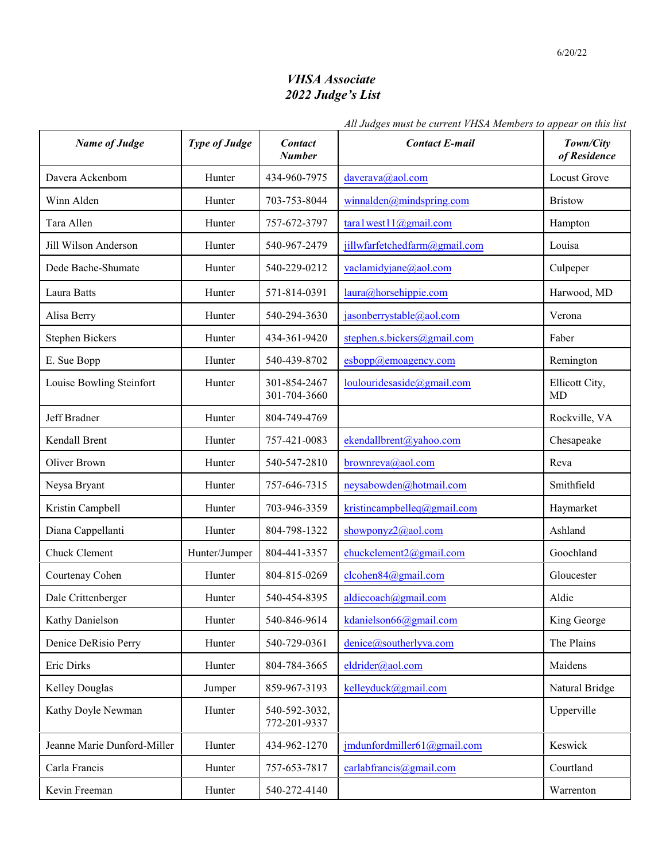## *VHSA Associate 2022 Judge's List*

## *All Judges must be current VHSA Members to appear on this list*

| <b>Name of Judge</b>        | <b>Type of Judge</b> | <b>Contact</b><br><b>Number</b> | <b>Contact E-mail</b>         | Town/City<br>of Residence |
|-----------------------------|----------------------|---------------------------------|-------------------------------|---------------------------|
| Davera Ackenbom             | Hunter               | 434-960-7975                    | daverava@aol.com              | <b>Locust Grove</b>       |
| Winn Alden                  | Hunter               | 703-753-8044                    | winnalden@mindspring.com      | <b>Bristow</b>            |
| Tara Allen                  | Hunter               | 757-672-3797                    | tara1west11@gmail.com         | Hampton                   |
| Jill Wilson Anderson        | Hunter               | 540-967-2479                    | jillwfarfetchedfarm@gmail.com | Louisa                    |
| Dede Bache-Shumate          | Hunter               | 540-229-0212                    | vaclamidyjane@aol.com         | Culpeper                  |
| Laura Batts                 | Hunter               | 571-814-0391                    | laura@horsehippie.com         | Harwood, MD               |
| Alisa Berry                 | Hunter               | 540-294-3630                    | jasonberrystable@aol.com      | Verona                    |
| <b>Stephen Bickers</b>      | Hunter               | 434-361-9420                    | stephen.s.bickers@gmail.com   | Faber                     |
| E. Sue Bopp                 | Hunter               | 540-439-8702                    | esbopp@emoagency.com          | Remington                 |
| Louise Bowling Steinfort    | Hunter               | 301-854-2467<br>301-704-3660    | loulouridesaside@gmail.com    | Ellicott City,<br>MD      |
| Jeff Bradner                | Hunter               | 804-749-4769                    |                               | Rockville, VA             |
| Kendall Brent               | Hunter               | 757-421-0083                    | ekendallbrent@yahoo.com       | Chesapeake                |
| Oliver Brown                | Hunter               | 540-547-2810                    | brownreva@aol.com             | Reva                      |
| Neysa Bryant                | Hunter               | 757-646-7315                    | neysabowden@hotmail.com       | Smithfield                |
| Kristin Campbell            | Hunter               | 703-946-3359                    | kristincampbelleq@gmail.com   | Haymarket                 |
| Diana Cappellanti           | Hunter               | 804-798-1322                    | showponyz2@aol.com            | Ashland                   |
| Chuck Clement               | Hunter/Jumper        | 804-441-3357                    | chuckclement2@gmail.com       | Goochland                 |
| Courtenay Cohen             | Hunter               | 804-815-0269                    | $c$ lcohen $84$ @gmail.com    | Gloucester                |
| Dale Crittenberger          | Hunter               | 540-454-8395                    | aldiecoach@gmail.com          | Aldie                     |
| Kathy Danielson             | Hunter               | 540-846-9614                    | kdanielson66@gmail.com        | King George               |
| Denice DeRisio Perry        | Hunter               | 540-729-0361                    | denice@southerlyva.com        | The Plains                |
| Eric Dirks                  | Hunter               | 804-784-3665                    | eldrider@aol.com              | Maidens                   |
| <b>Kelley Douglas</b>       | Jumper               | 859-967-3193                    | kelleyduck@gmail.com          | Natural Bridge            |
| Kathy Doyle Newman          | Hunter               | 540-592-3032,<br>772-201-9337   |                               | Upperville                |
| Jeanne Marie Dunford-Miller | Hunter               | 434-962-1270                    | jmdunfordmiller61@gmail.com   | Keswick                   |
| Carla Francis               | Hunter               | 757-653-7817                    | carlabfrancis@gmail.com       | Courtland                 |
| Kevin Freeman               | Hunter               | 540-272-4140                    |                               | Warrenton                 |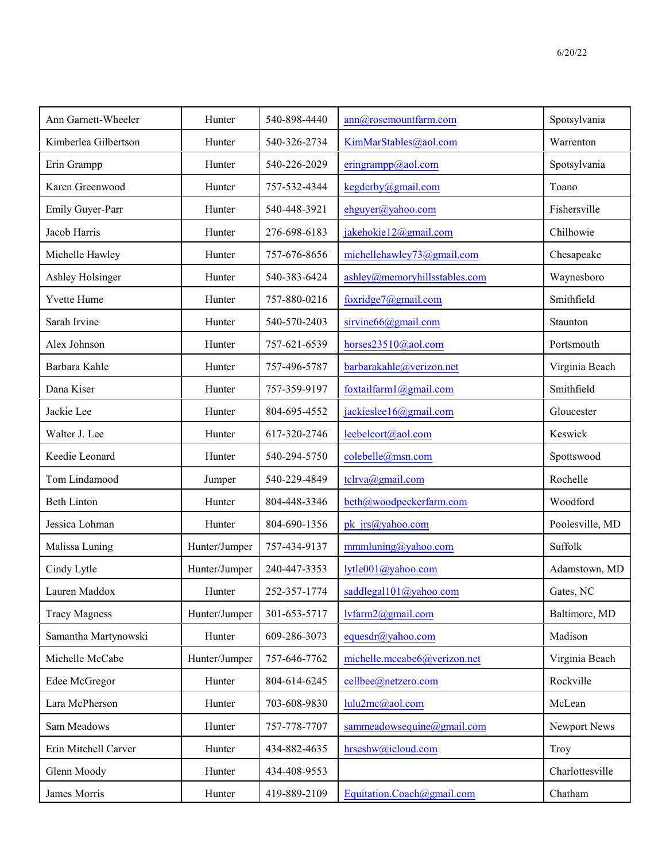| Ann Garnett-Wheeler  | Hunter        | 540-898-4440 | ann@rosemountfarm.com         | Spotsylvania    |
|----------------------|---------------|--------------|-------------------------------|-----------------|
| Kimberlea Gilbertson | Hunter        | 540-326-2734 | KimMarStables@aol.com         | Warrenton       |
| Erin Grampp          | Hunter        | 540-226-2029 | eringrampp@aol.com            | Spotsylvania    |
| Karen Greenwood      | Hunter        | 757-532-4344 | kegderby@gmail.com            | Toano           |
| Emily Guyer-Parr     | Hunter        | 540-448-3921 | ehguyer@yahoo.com             | Fishersville    |
| Jacob Harris         | Hunter        | 276-698-6183 | jakehokie12@gmail.com         | Chilhowie       |
| Michelle Hawley      | Hunter        | 757-676-8656 | michellehawley73@gmail.com    | Chesapeake      |
| Ashley Holsinger     | Hunter        | 540-383-6424 | ashley@memoryhillsstables.com | Waynesboro      |
| Yvette Hume          | Hunter        | 757-880-0216 | foxridge7@gmail.com           | Smithfield      |
| Sarah Irvine         | Hunter        | 540-570-2403 | sirvine66@gmail.com           | Staunton        |
| Alex Johnson         | Hunter        | 757-621-6539 | horses23510@aol.com           | Portsmouth      |
| Barbara Kahle        | Hunter        | 757-496-5787 | barbarakahle@verizon.net      | Virginia Beach  |
| Dana Kiser           | Hunter        | 757-359-9197 | foxtailfarm1@gmail.com        | Smithfield      |
| Jackie Lee           | Hunter        | 804-695-4552 | jackieslee16@gmail.com        | Gloucester      |
| Walter J. Lee        | Hunter        | 617-320-2746 | leebelcort@aol.com            | Keswick         |
| Keedie Leonard       | Hunter        | 540-294-5750 | colebelle@msn.com             | Spottswood      |
| Tom Lindamood        | Jumper        | 540-229-4849 | tclrva@gmail.com              | Rochelle        |
| <b>Beth Linton</b>   | Hunter        | 804-448-3346 | beth@woodpeckerfarm.com       | Woodford        |
| Jessica Lohman       | Hunter        | 804-690-1356 | pk jrs@yahoo.com              | Poolesville, MD |
| Malissa Luning       | Hunter/Jumper | 757-434-9137 | mmmluning@yahoo.com           | Suffolk         |
| Cindy Lytle          | Hunter/Jumper | 240-447-3353 | lytle001@yahoo.com            | Adamstown, MD   |
| Lauren Maddox        | Hunter        | 252-357-1774 | saddlegal101@yahoo.com        | Gates, NC       |
| <b>Tracy Magness</b> | Hunter/Jumper | 301-653-5717 | lvfarm2@gmail.com             | Baltimore, MD   |
| Samantha Martynowski | Hunter        | 609-286-3073 | equesdr@yahoo.com             | Madison         |
| Michelle McCabe      | Hunter/Jumper | 757-646-7762 | michelle.mccabe6@verizon.net  | Virginia Beach  |
| Edee McGregor        | Hunter        | 804-614-6245 | cellbee@netzero.com           | Rockville       |
| Lara McPherson       | Hunter        | 703-608-9830 | lulu2mc@aol.com               | McLean          |
| Sam Meadows          | Hunter        | 757-778-7707 | sammeadowsequine@gmail.com    | Newport News    |
| Erin Mitchell Carver | Hunter        | 434-882-4635 | hrseshw@icloud.com            | Troy            |
| Glenn Moody          | Hunter        | 434-408-9553 |                               | Charlottesville |
| James Morris         | Hunter        | 419-889-2109 | Equitation.Coach@gmail.com    | Chatham         |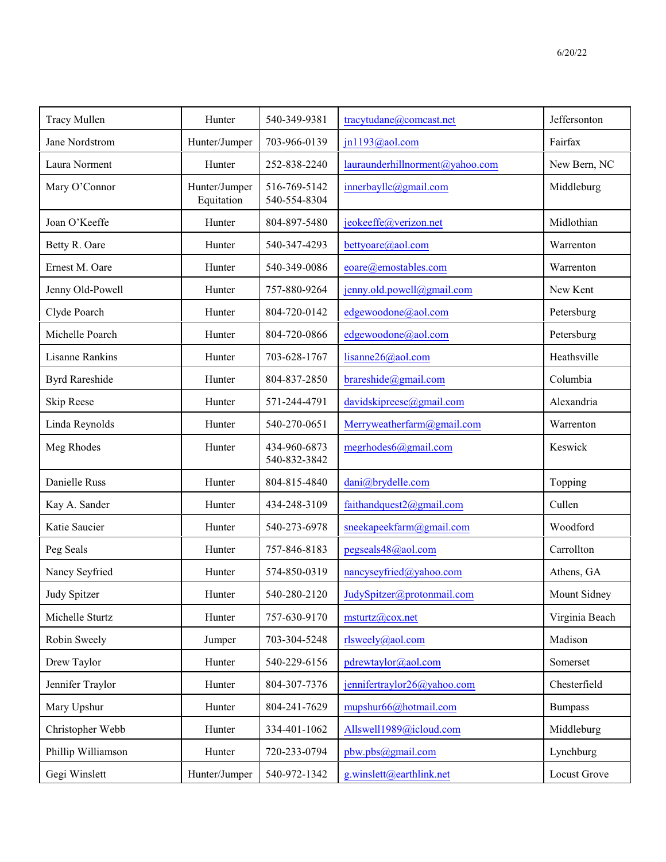| <b>Tracy Mullen</b>    | Hunter                      | 540-349-9381                 | tracytudane@comcast.net         | Jeffersonton   |
|------------------------|-----------------------------|------------------------------|---------------------------------|----------------|
| Jane Nordstrom         | Hunter/Jumper               | 703-966-0139                 | jn1193@aol.com                  | Fairfax        |
| Laura Norment          | Hunter                      | 252-838-2240                 | lauraunderhillnorment@yahoo.com | New Bern, NC   |
| Mary O'Connor          | Hunter/Jumper<br>Equitation | 516-769-5142<br>540-554-8304 | innerbayllc@gmail.com           | Middleburg     |
| Joan O'Keeffe          | Hunter                      | 804-897-5480                 | jeokeeffe@verizon.net           | Midlothian     |
| Betty R. Oare          | Hunter                      | 540-347-4293                 | bettyoare@aol.com               | Warrenton      |
| Ernest M. Oare         | Hunter                      | 540-349-0086                 | eoare@emostables.com            | Warrenton      |
| Jenny Old-Powell       | Hunter                      | 757-880-9264                 | jenny.old.powell@gmail.com      | New Kent       |
| Clyde Poarch           | Hunter                      | 804-720-0142                 | edgewoodone@aol.com             | Petersburg     |
| Michelle Poarch        | Hunter                      | 804-720-0866                 | edgewoodone@aol.com             | Petersburg     |
| <b>Lisanne Rankins</b> | Hunter                      | 703-628-1767                 | lisanne26@aol.com               | Heathsville    |
| <b>Byrd Rareshide</b>  | Hunter                      | 804-837-2850                 | brares hide @gmail.com          | Columbia       |
| Skip Reese             | Hunter                      | 571-244-4791                 | davidskipreese@gmail.com        | Alexandria     |
| Linda Reynolds         | Hunter                      | 540-270-0651                 | Merryweatherfarm@gmail.com      | Warrenton      |
| Meg Rhodes             | Hunter                      | 434-960-6873<br>540-832-3842 | megrhodes6@gmail.com            | Keswick        |
| Danielle Russ          | Hunter                      | 804-815-4840                 | dani@brydelle.com               | Topping        |
| Kay A. Sander          | Hunter                      | 434-248-3109                 | faithandquest2@gmail.com        | Cullen         |
| Katie Saucier          | Hunter                      | 540-273-6978                 | sneekapeekfarm@gmail.com        | Woodford       |
| Peg Seals              | Hunter                      | 757-846-8183                 | pegseals48@aol.com              | Carrollton     |
| Nancy Seyfried         | Hunter                      | 574-850-0319                 | nancyseyfried@yahoo.com         | Athens, GA     |
| Judy Spitzer           | Hunter                      | 540-280-2120                 | JudySpitzer@protonmail.com      | Mount Sidney   |
| Michelle Sturtz        | Hunter                      | 757-630-9170                 | $m$ sturtz@cox.net              | Virginia Beach |
| Robin Sweely           | Jumper                      | 703-304-5248                 | rlsweely@aol.com                | Madison        |
| Drew Taylor            | Hunter                      | 540-229-6156                 | pdrewtaylor@aol.com             | Somerset       |
| Jennifer Traylor       | Hunter                      | 804-307-7376                 | jennifertraylor26@yahoo.com     | Chesterfield   |
| Mary Upshur            | Hunter                      | 804-241-7629                 | mupshur66@hotmail.com           | <b>Bumpass</b> |
| Christopher Webb       | Hunter                      | 334-401-1062                 | Allswell1989@icloud.com         | Middleburg     |
| Phillip Williamson     | Hunter                      | 720-233-0794                 | pbw.pbs@gmail.com               | Lynchburg      |
| Gegi Winslett          | Hunter/Jumper               | 540-972-1342                 | g.winslett@earthlink.net        | Locust Grove   |